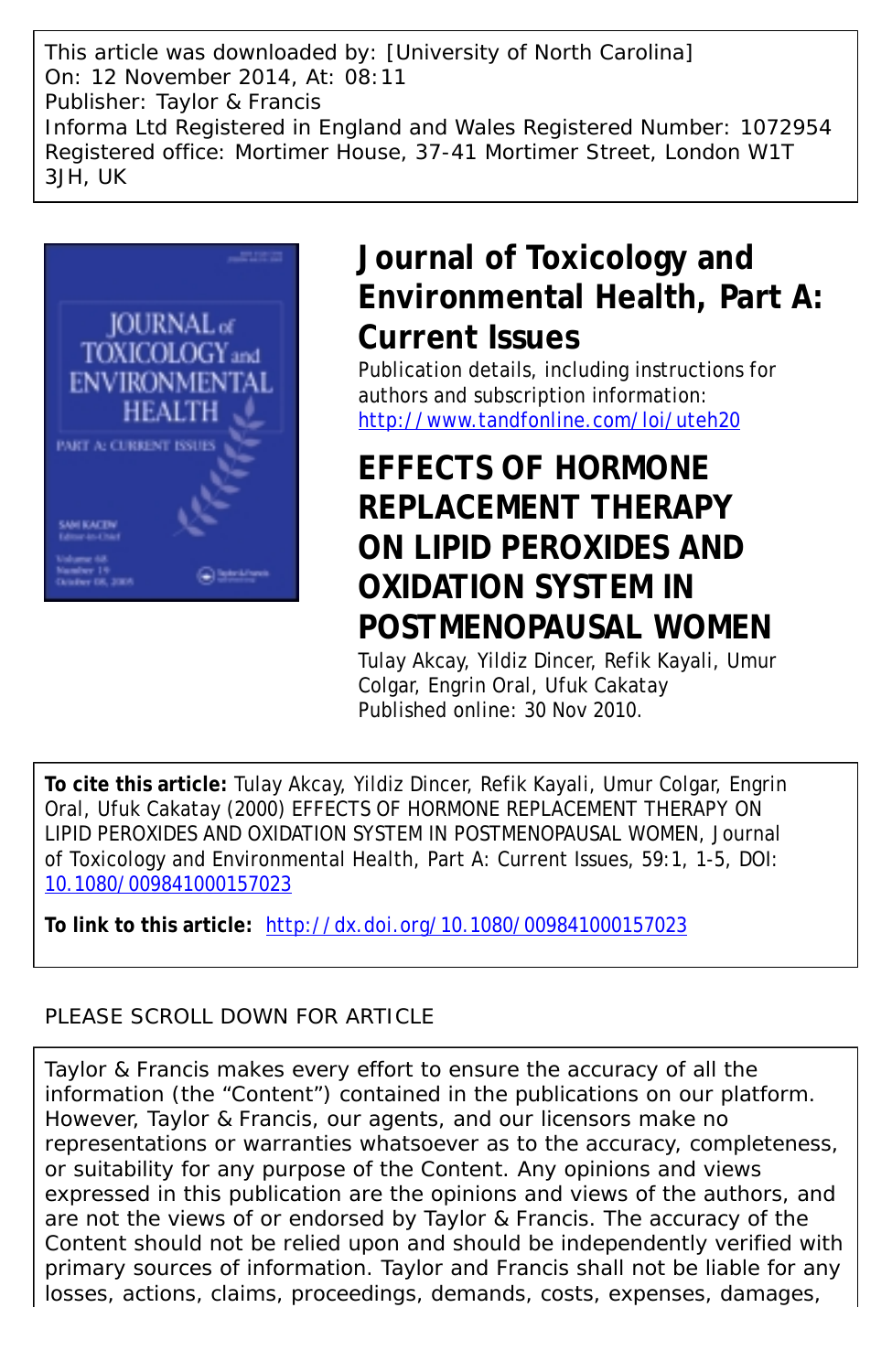This article was downloaded by: [University of North Carolina] On: 12 November 2014, At: 08:11 Publisher: Taylor & Francis Informa Ltd Registered in England and Wales Registered Number: 1072954 Registered office: Mortimer House, 37-41 Mortimer Street, London W1T 3JH, UK



## **Journal of Toxicology and Environmental Health, Part A: Current Issues**

Publication details, including instructions for authors and subscription information: <http://www.tandfonline.com/loi/uteh20>

# **EFFECTS OF HORMONE REPLACEMENT THERAPY ON LIPID PEROXIDES AND OXIDATION SYSTEM IN POSTMENOPAUSAL WOMEN**

Tulay Akcay, Yildiz Dincer, Refik Kayali, Umur Colgar, Engrin Oral, Ufuk Cakatay Published online: 30 Nov 2010.

**To cite this article:** Tulay Akcay, Yildiz Dincer, Refik Kayali, Umur Colgar, Engrin Oral, Ufuk Cakatay (2000) EFFECTS OF HORMONE REPLACEMENT THERAPY ON LIPID PEROXIDES AND OXIDATION SYSTEM IN POSTMENOPAUSAL WOMEN, Journal of Toxicology and Environmental Health, Part A: Current Issues, 59:1, 1-5, DOI: [10.1080/009841000157023](http://www.tandfonline.com/action/showCitFormats?doi=10.1080/009841000157023)

**To link to this article:** <http://dx.doi.org/10.1080/009841000157023>

## PLEASE SCROLL DOWN FOR ARTICLE

Taylor & Francis makes every effort to ensure the accuracy of all the information (the "Content") contained in the publications on our platform. However, Taylor & Francis, our agents, and our licensors make no representations or warranties whatsoever as to the accuracy, completeness, or suitability for any purpose of the Content. Any opinions and views expressed in this publication are the opinions and views of the authors, and are not the views of or endorsed by Taylor & Francis. The accuracy of the Content should not be relied upon and should be independently verified with primary sources of information. Taylor and Francis shall not be liable for any losses, actions, claims, proceedings, demands, costs, expenses, damages,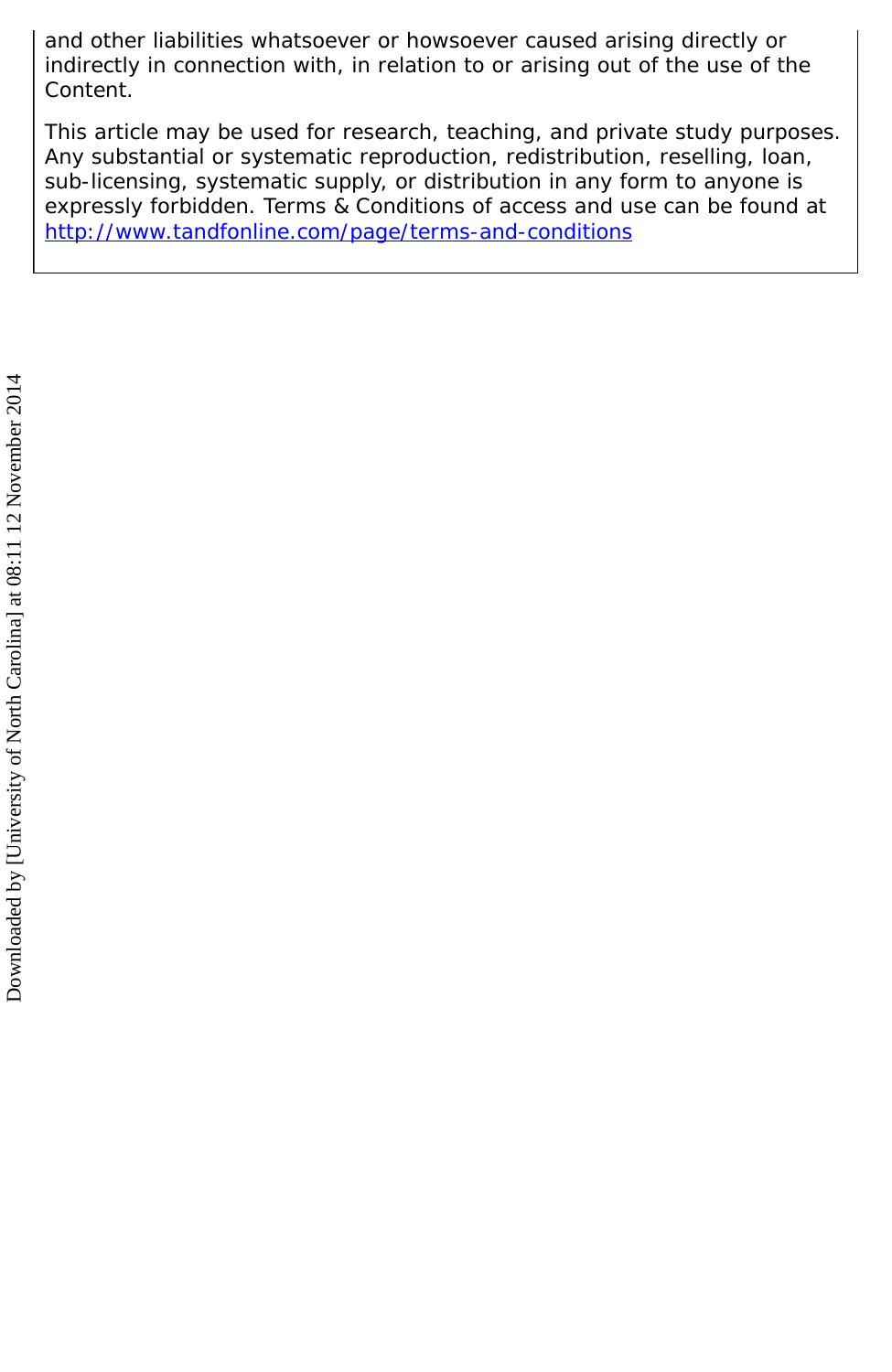and other liabilities whatsoever or howsoever caused arising directly or indirectly in connection with, in relation to or arising out of the use of the Content.

This article may be used for research, teaching, and private study purposes. Any substantial or systematic reproduction, redistribution, reselling, loan, sub-licensing, systematic supply, or distribution in any form to anyone is expressly forbidden. Terms & Conditions of access and use can be found at <http://www.tandfonline.com/page/terms-and-conditions>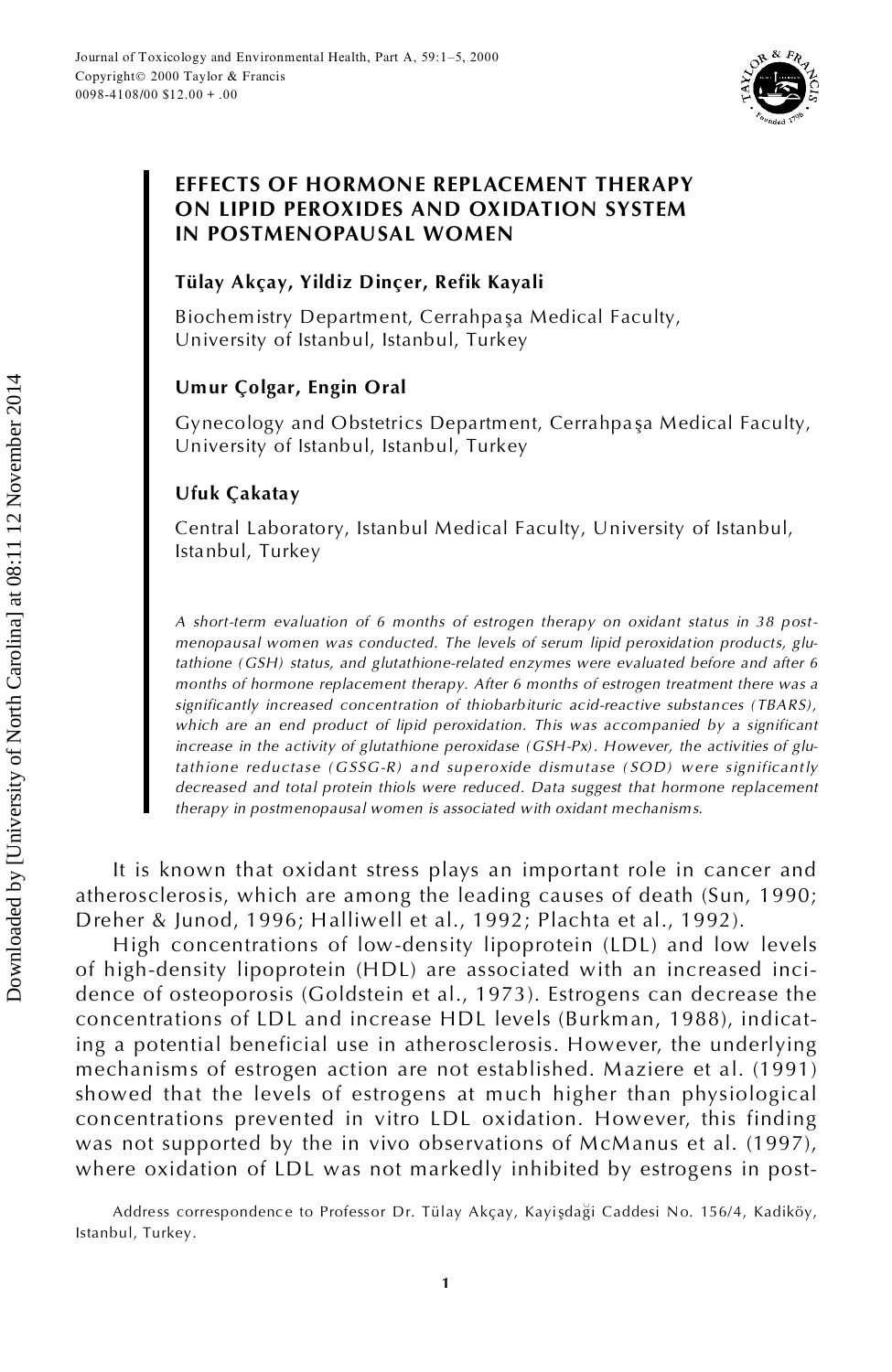

## **EFFECTS OF HORMONE REPLACEMENT THERAPY ON LIPID PEROXIDES AND OXIDATION SYSTEM IN POSTMENOPAUSAL WOMEN**

### **Tülay Akçay, Yildiz Dinçer, Refik Kayali**

Biochemistry Department, Cerrahpaşa Medical Faculty, University of Istanbul, Istanbul, Turkey

## **Umur Çolgar, Engin Oral**

Gynecology and Obstetrics Department, Cerrahpaşa Medical Faculty, University of Istanbul, Istanbul, Turkey

## **Ufuk Çakatay**

Central Laboratory, Istanbul Medical Faculty, University of Istanbul, Istanbul, Turkey

*A short-term evaluation of 6 months of estrogen therapy on oxidant status in 38 post menopausal women was conducted. The levels of serum lipid peroxidation products, glutathione (GSH) status, and glutathione-related enzymes were evaluated before and after 6 months of hormone replacement therapy. After 6 months of estrogen treatment there was a significantly increased concentration of thiobarbituric acid-reactive substances ( TBARS) , which are an end product of lipid peroxidation. This was accompanied by a significant increase in the activity of glutathione peroxidase (GSH-Px) . However, the activities of glutathione red uctase ( GSSG-R) and sup eroxide dismutase ( SOD) were significantly decreased and total protein thiols were reduced. Data suggest that hormone replacement therapy in postmenopausal women is associated with oxidant mechanisms.*

It is known that oxidant stress plays an important role in cancer and atherosclerosis, which are among the leading causes of death (Sun, 1990; Dreher & Junod, 1996; Halliwell et al., 1992; Plachta et al., 1992).

High concentrations of low-density lipoprotein (LDL) and low levels of high-density lipoprotein (HDL) are associated with an increased inci dence of osteoporosis (Goldstein et al., 1973). Estrogens can decrease the concentrations of LDL and increase HDL levels (Burkman, 1988), indicating a potential beneficial use in atherosclerosis. However, the underlying mechanisms of estrogen action are not established. Maziere et al. (1991) showed that the levels of estrogens at much higher than physiological concentrations prevented in vitro LDL oxidation. However, this finding was not supported by the in vivo observations of McManus et al. (1997), where oxidation of LDL was not markedly inhibited by estrogens in post-**ISTAND SEARCH CAROT CONTROLL CONTROLL CONTROLL CONTROLL CONTROLL CONTROLL CONTROLL CONTROLL CONTROLL CONTROLL CONTROLL CONTROLL CONTROLL CONTROLL CONTROLL CONTROLL CONTROLL CONTROLL CONTROLL CONTROLL CONTROLL CONTROLL CO** 

Address correspondence to Professor Dr. Tülay Akçay, Kayişdaği Caddesi No. 156/4, Kadiköy,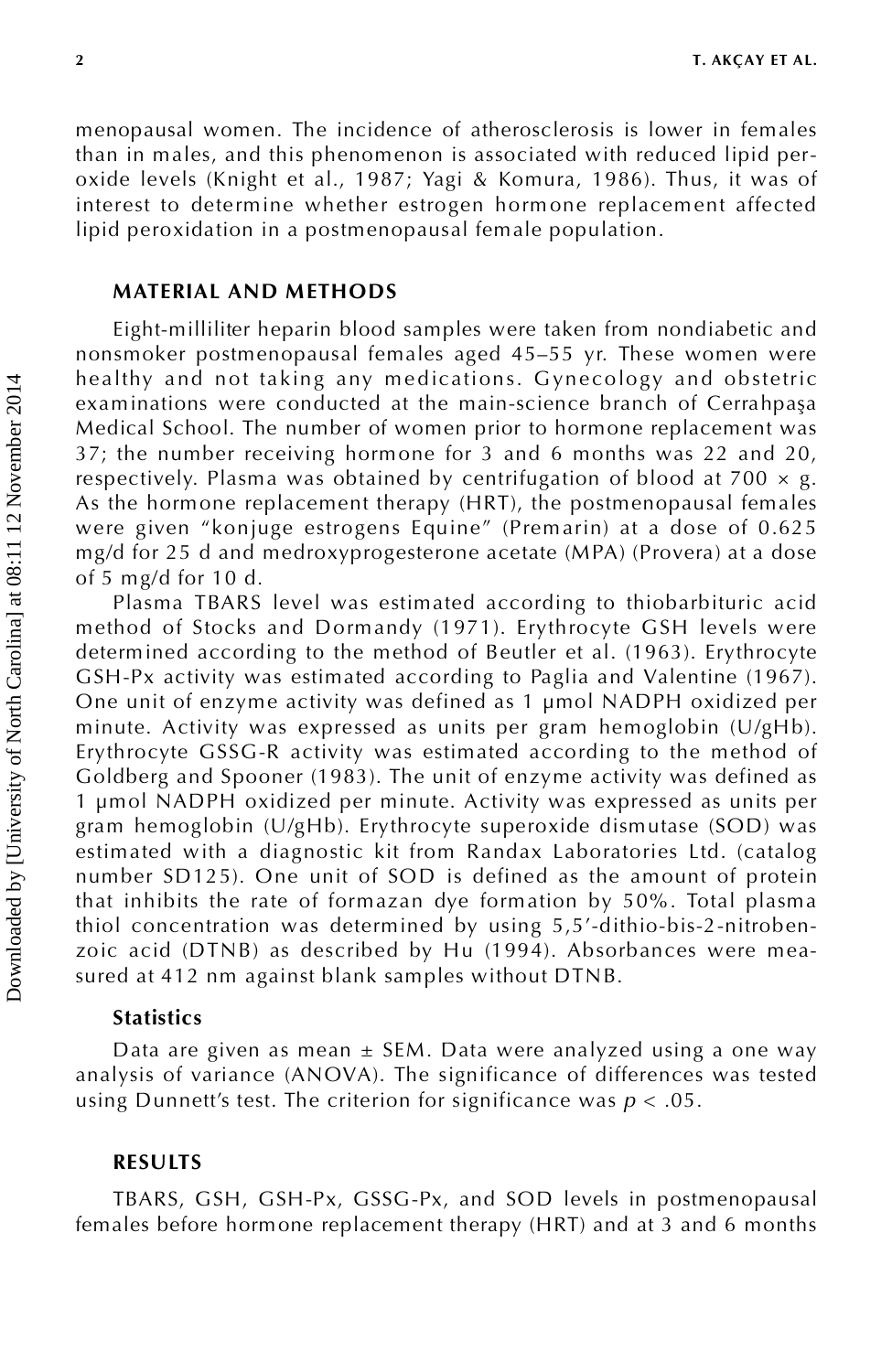menopausal women. The incidence of atherosclerosis is lower in females than in males, and this phenomenon is associated with reduced lipid per oxide levels (Knight et al., 1987; Yagi & Komura, 1986). Thus, it was of interest to determine whether estrogen hormone replacement affected lipid peroxidation in a postmenopausal female population.

#### **MATERIAL AND METHODS**

Eight-milliliter heparin blood samples were taken from nondiabetic and nonsmoker postmenopausal females aged 45–55 yr. These women were healthy and not taking any medications. Gynecology and obstetric examinations were conducted at the main-science branch of Cerrahpaşa Medical School. The number of women prior to hormone replacement was 37; the number receiving hormone for 3 and 6 months was 22 and 20, respectively. Plasma was obtained by centrifugation of blood at 700  $\times$  g. As the hormone replacement therapy (HRT), the postmenopausal females were given "konjuge estrogens Equine" (Prem arin) at a dose of 0.625 mg/d for 25 d and medroxyprogesterone acetate (MPA) (Provera) at a dose of 5 mg/d for 10 d.

Plasma TBARS level was estimated according to thiobarbituric acid method of Stocks and Dormandy (1971). Erythrocyte GSH levels were determined according to the method of Beutler et al. (1963). Erythrocyte GSH-Px activity was estimated according to Paglia and Valentine (1967). One unit of enzyme activity was defined as 1 µmol NADPH oxidized per minute. Activity was expressed as units per gram hemoglobin  $(U/gHb)$ . Erythrocyte GSSG-R activity was estimated according to the method of Goldberg and Spooner (1983). The unit of enzyme activity was defined as 1 µmol NADPH oxidized per minute. Activity was expressed as units per gram hemoglobin (U/gHb). Erythrocyte superoxide dismutase (SOD) was estimated with a diagnostic kit from Randax Laboratories Ltd. (catalog number SD125). One unit of SOD is defined as the amount of protein that inhibits the rate of formazan dye formation by 50%. Total plasma thiol concentration was determined by using 5,5'-dithio-bis-2-nitroben zoic acid (DTNB) as described by Hu (1994). Absorbances were measured at 412 nm against blank samples without DTNB.

#### **Statistics**

Data are given as mean  $\pm$  SEM. Data were analyzed using a one way analysis of variance (ANOVA). The significance of differences was tested using Dunnett's test. The criterion for significance was *p* < .05.

#### **RESULTS**

TBARS, GSH, GSH-Px, GSSG-Px, and SOD levels in postmenopausal females before hormone replacement therapy (HRT) and at 3 and 6 months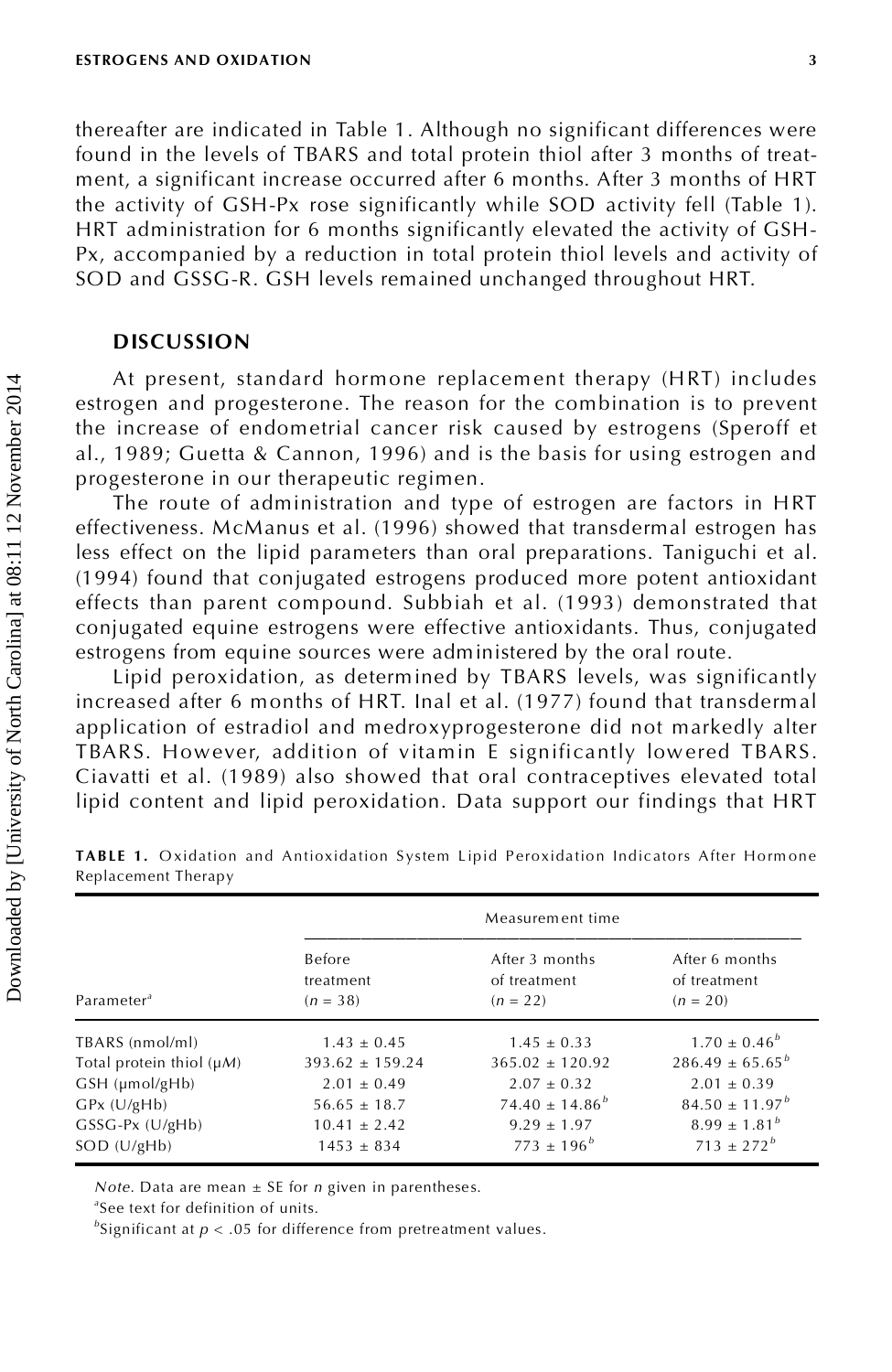thereafter are indicated in Table 1. Although no significant differences were found in the levels of TBARS and total protein thiol after 3 months of treatment, a significant increase occurred after 6 months. After 3 months of HRT the activity of GSH-Px rose significantly while SOD activity fell (Table 1). HRT administration for 6 months significantly elevated the activity of GSH- Px, accompanied by a reduction in total protein thiol levels and activity of SOD and GSSG-R. GSH levels remained unchanged throughout HRT.

### **DISCUSSION**

|                                                                                                                                                        |                                                                      | estrogen and progesterone. The reason for the combination is to prevent<br>the increase of endometrial cancer risk caused by estrogens (Speroff et |                                           |
|--------------------------------------------------------------------------------------------------------------------------------------------------------|----------------------------------------------------------------------|----------------------------------------------------------------------------------------------------------------------------------------------------|-------------------------------------------|
| al., 1989; Guetta & Cannon, 1996) and is the basis for using estrogen and                                                                              |                                                                      |                                                                                                                                                    |                                           |
| progesterone in our therapeutic regimen.                                                                                                               |                                                                      |                                                                                                                                                    |                                           |
|                                                                                                                                                        | The route of administration and type of estrogen are factors in HRT  |                                                                                                                                                    |                                           |
| effectiveness. McManus et al. (1996) showed that transdermal estrogen has                                                                              |                                                                      |                                                                                                                                                    |                                           |
| less effect on the lipid parameters than oral preparations. Taniguchi et al.                                                                           |                                                                      |                                                                                                                                                    |                                           |
| (1994) found that conjugated estrogens produced more potent antioxidant                                                                                |                                                                      |                                                                                                                                                    |                                           |
| effects than parent compound. Subbiah et al. (1993) demonstrated that                                                                                  |                                                                      |                                                                                                                                                    |                                           |
| conjugated equine estrogens were effective antioxidants. Thus, conjugated                                                                              |                                                                      |                                                                                                                                                    |                                           |
| estrogens from equine sources were administered by the oral route.                                                                                     |                                                                      |                                                                                                                                                    |                                           |
|                                                                                                                                                        | Lipid peroxidation, as determined by TBARS levels, was significantly |                                                                                                                                                    |                                           |
| increased after 6 months of HRT. Inal et al. (1977) found that transdermal                                                                             |                                                                      |                                                                                                                                                    |                                           |
|                                                                                                                                                        |                                                                      |                                                                                                                                                    |                                           |
|                                                                                                                                                        |                                                                      |                                                                                                                                                    |                                           |
| application of estradiol and medroxyprogesterone did not markedly alter                                                                                |                                                                      |                                                                                                                                                    |                                           |
| TBARS. However, addition of vitamin E significantly lowered TBARS.                                                                                     |                                                                      |                                                                                                                                                    |                                           |
| Ciavatti et al. (1989) also showed that oral contraceptives elevated total<br>lipid content and lipid peroxidation. Data support our findings that HRT |                                                                      |                                                                                                                                                    |                                           |
| TABLE 1. Oxidation and Antioxidation System Lipid Peroxidation Indicators After Hormone<br>Replacement Therapy                                         |                                                                      | Measurement time                                                                                                                                   |                                           |
|                                                                                                                                                        | Before                                                               | After 3 months                                                                                                                                     | After 6 months                            |
|                                                                                                                                                        | treatment                                                            | of treatment                                                                                                                                       | of treatment                              |
| Parameter <sup>a</sup>                                                                                                                                 | $(n = 38)$                                                           | $(n = 22)$                                                                                                                                         | $(n = 20)$                                |
| TBARS (nmol/ml)                                                                                                                                        | $1.43 \pm 0.45$                                                      | $1.45 \pm 0.33$                                                                                                                                    | $1.70 \pm 0.46^b$                         |
| Total protein thiol $(\mu M)$                                                                                                                          | $393.62 \pm 159.24$                                                  | $365.02 \pm 120.92$                                                                                                                                |                                           |
| GSH (µmol/gHb)                                                                                                                                         | $2.01 \pm 0.49$                                                      | $2.07 \pm 0.32$                                                                                                                                    | $286.49 \pm 65.65^{b}$<br>$2.01 \pm 0.39$ |
| $GPx$ (U/gHb)                                                                                                                                          | $56.65 \pm 18.7$                                                     | $74.40 \pm 14.86^b$                                                                                                                                | $84.50 \pm 11.97^b$                       |
| GSSG-Px (U/gHb)<br>SOD (U/gHb)                                                                                                                         | $10.41 \pm 2.42$<br>$1453 \pm 834$                                   | $9.29 \pm 1.97$<br>$773 \pm 196^b$                                                                                                                 | $8.99 \pm 1.81^b$<br>$713 \pm 272^b$      |

**TABLE 1.** Oxidation and Antioxidation System Lipid Peroxidation Indicators After Hormone Replacement Therapy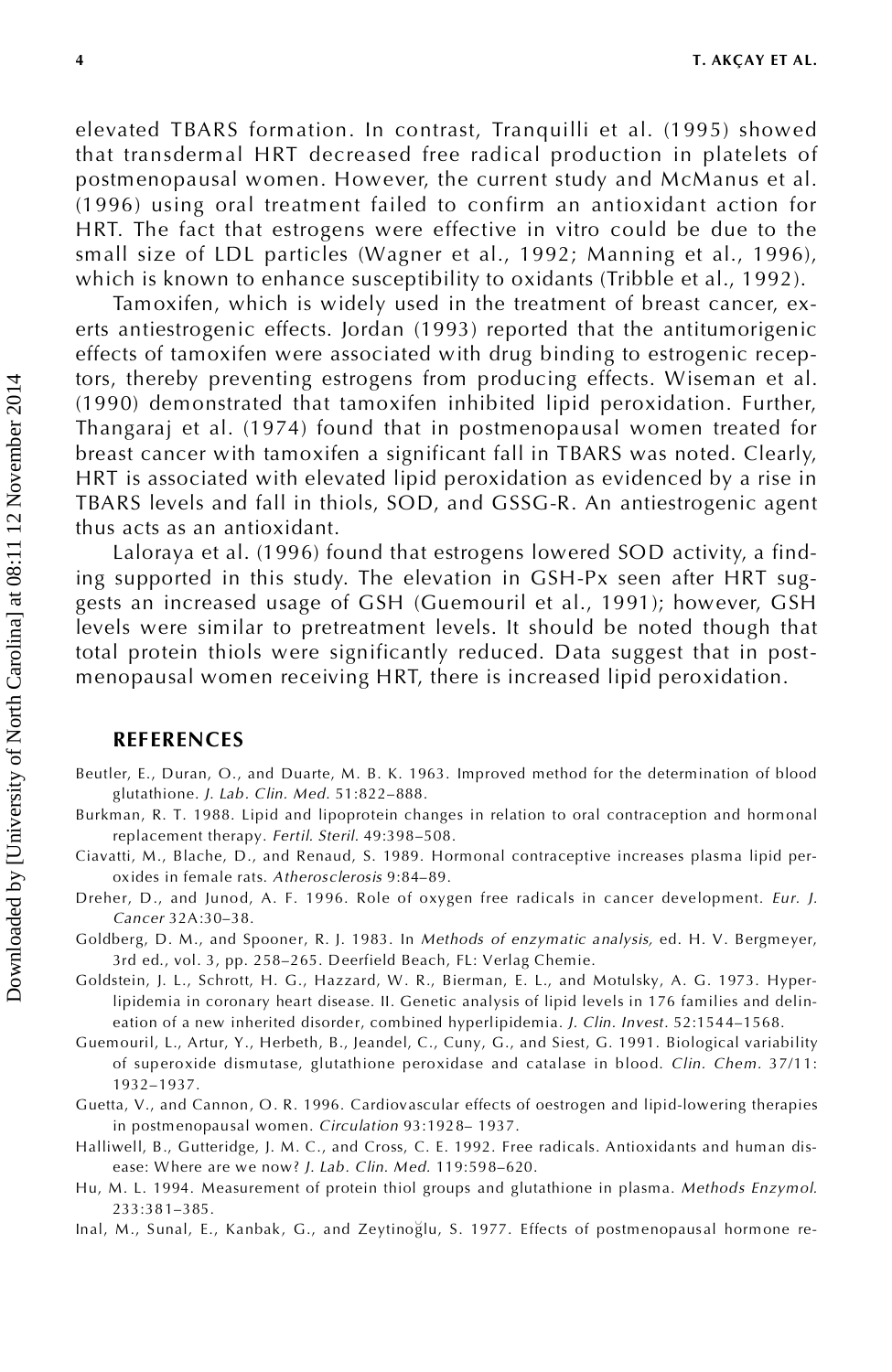elevated TBARS formation. In contrast, Tranquilli et al. (1995) showed that transdermal HRT decreased free radical production in platelets of postmenopausal women. However, the current study and McManus et al. (1996) using oral treatment failed to confirm an antioxidant action for HRT. The fact that estrogens were effective in vitro could be due to the small size of LDL particles (Wagner et al., 1992; Manning et al., 1996), which is known to enhance susceptibility to oxidants (Tribble et al., 1992).

Tamoxifen, which is widely used in the treatment of breast cancer, ex erts antiestrogenic effects. Jordan (1993) reported that the antitumorigenic effects of tamoxifen were associated with drug binding to estrogenic receptors, thereby preventing estrogens from producing effects. Wiseman et al. (1990) demonstrated that tamoxifen inhibited lipid peroxidation. Further, Thangaraj et al. (1974) found that in postmenopausal women treated for breast cancer with tamoxifen a significant fall in TBARS was noted. Clearly, HRT is associated with elevated lipid peroxidation as evidenced by a rise in TBARS levels and fall in thiols, SOD, and GSSG-R. An antiestrogenic agent thus acts as an antioxidant.

Laloraya et al. (1996) found that estrogens lowered SOD activity, a finding supported in this study. The elevation in GSH-Px seen after HRT sug gests an increased usage of GSH (Guemouril et al., 1991); however, GSH levels were similar to pretreatment levels. It should be noted though that total protein thiols were significantly reduced. Data suggest that in post menopausal women receiving HRT, there is increased lipid peroxidation.

#### **REFERENCES**

- Beutler, E., Duran, O., and Duarte, M. B. K. 1963. Improved method for the determination of blood glutathione. *J. Lab. Clin. Med.* 51:822–888.
- Burkman, R. T. 1988. Lipid and lipoprotein changes in relation to oral contraception and hormonal replacement therapy. *Fertil. Steril.* 49:398–508.
- Ciavatti, M., Blache, D., and Renaud, S. 1989. Hormonal contraceptive increases plasma lipid per oxides in female rats. *Atherosclerosis* 9:84–89.
- Dreher, D., and Junod, A. F. 1996. Role of oxygen free radicals in cancer development. *Eur. J. Cancer* 32A:30–38.
- Goldberg, D. M., and Spooner, R. J. 1983. In *Methods of enzymatic analysis,* ed. H. V. Bergmeyer, 3rd ed., vol. 3, pp. 258–265. Deerfield Beach, FL: Verlag Chemie.
- Goldstein, J. L., Schrott, H. G., Hazzard, W. R., Bierman, E. L., and Motulsky, A. G. 1973. Hyperlipidemia in coronary heart disease. II. Genetic analysis of lipid levels in 176 families and delineation of a new inherited disorder, combined hyperlipidemia. *J. Clin. Invest.* 52:1544–1568.
- Guemouril, L., Artur, Y., Herbeth, B., Jeandel, C., Cuny, G., and Siest, G. 1991. Biological variability of superoxide dismutase, glutathione peroxidase and catalase in blood. *Clin. Chem.* 37/11: 1932–1937.
- Guetta, V., and Cannon, O. R. 1996. Cardiovascular effects of oestrogen and lipid-lowering therapies in postmenopausal women. *Circulation* 93:1928– 1937.
- Halliwell, B., Gutteridge, J. M. C., and Cross, C. E. 1992. Free radicals. Antioxidants and human dis ease: Where are we now? *J. Lab. Clin. Med.* 119:598–620.
- Hu, M. L. 1994. Measurement of protein thiol groups and glutathione in plasma. *Methods Enzymol.* 233:381–385.
- Inal, M., Sunal, E., Kanbak, G., and Zeytinoğlu, S. 1977. Effects of postmenopausal hormone re-